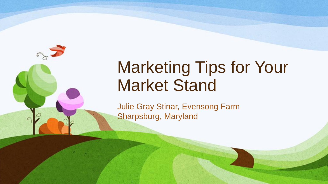

# Marketing Tips for Your Market Stand

Julie Gray Stinar, Evensong Farm Sharpsburg, Maryland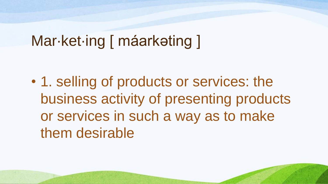# Mar·ket·ing [ máarkəting ]

• 1. selling of products or services: the business activity of presenting products or services in such a way as to make them desirable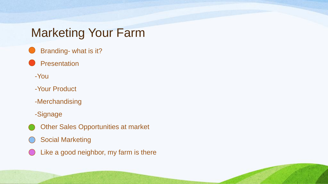# Marketing Your Farm

- Branding- what is it?
- **Presentation** 
	- -You
	- -Your Product
	- -Merchandising
	- -Signage
- **Other Sales Opportunities at market**
- **Social Marketing**
- Like a good neighbor, my farm is there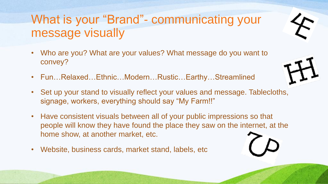# What is your "Brand"- communicating your message visually

- Who are you? What are your values? What message do you want to convey?
- Fun…Relaxed…Ethnic…Modern…Rustic…Earthy…Streamlined
- Set up your stand to visually reflect your values and message. Tablecloths, signage, workers, everything should say "My Farm!!"
- Have consistent visuals between all of your public impressions so that people will know they have found the place they saw on the internet, at the home show, at another market, etc.
- Website, business cards, market stand, labels, etc



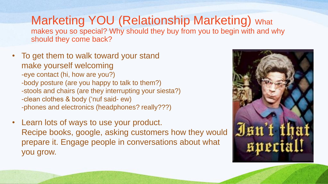#### Marketing YOU (Relationship Marketing) What makes you so special? Why should they buy from you to begin with and why should they come back?

- To get them to walk toward your stand make yourself welcoming -eye contact (hi, how are you?) -body posture (are you happy to talk to them?) -stools and chairs (are they interrupting your siesta?) -clean clothes & body ('nuf said- ew) -phones and electronics (headphones? really???)
- Learn lots of ways to use your product. Recipe books, google, asking customers how they would prepare it. Engage people in conversations about what you grow.

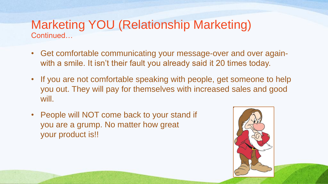#### Marketing YOU (Relationship Marketing) Continued…

- Get comfortable communicating your message-over and over againwith a smile. It isn't their fault you already said it 20 times today.
- If you are not comfortable speaking with people, get someone to help you out. They will pay for themselves with increased sales and good will.
- People will NOT come back to your stand if you are a grump. No matter how great your product is!!

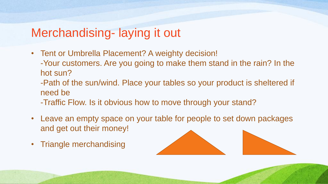## Merchandising- laying it out

- Tent or Umbrella Placement? A weighty decision!
	- -Your customers. Are you going to make them stand in the rain? In the hot sun?
	- -Path of the sun/wind. Place your tables so your product is sheltered if need be
	- -Traffic Flow. Is it obvious how to move through your stand?
- Leave an empty space on your table for people to set down packages and get out their money!
- Triangle merchandising



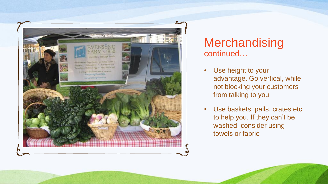

### **Merchandising** continued…

- Use height to your advantage. Go vertical, while not blocking your customers from talking to you
- Use baskets, pails, crates etc to help you. If they can't be washed, consider using towels or fabric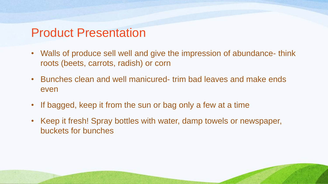## Product Presentation

- Walls of produce sell well and give the impression of abundance- think roots (beets, carrots, radish) or corn
- Bunches clean and well manicured- trim bad leaves and make ends even
- If bagged, keep it from the sun or bag only a few at a time
- Keep it fresh! Spray bottles with water, damp towels or newspaper, buckets for bunches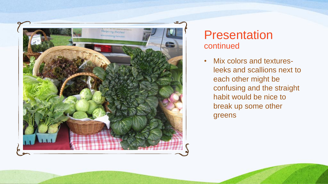

### **Presentation** continued

• Mix colors and texturesleeks and scallions next to each other might be confusing and the straight habit would be nice to break up some other greens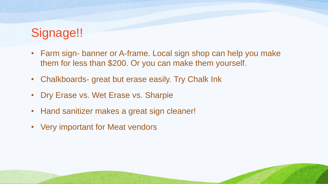# Signage!!

- Farm sign- banner or A-frame. Local sign shop can help you make them for less than \$200. Or you can make them yourself.
- Chalkboards- great but erase easily. Try Chalk Ink
- Dry Erase vs. Wet Erase vs. Sharpie
- Hand sanitizer makes a great sign cleaner!
- Very important for Meat vendors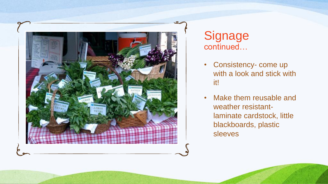

**Signage** continued…

- Consistency- come up with a look and stick with it!
- Make them reusable and weather resistantlaminate cardstock, little blackboards, plastic sleeves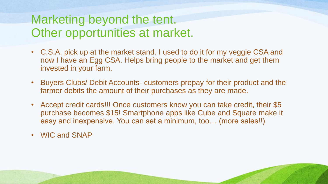## Marketing beyond the tent. Other opportunities at market.

- C.S.A. pick up at the market stand. I used to do it for my veggie CSA and now I have an Egg CSA. Helps bring people to the market and get them invested in your farm.
- Buyers Clubs/ Debit Accounts- customers prepay for their product and the farmer debits the amount of their purchases as they are made.
- Accept credit cards!!! Once customers know you can take credit, their \$5 purchase becomes \$15! Smartphone apps like Cube and Square make it easy and inexpensive. You can set a minimum, too... (more sales!!)
- WIC and SNAP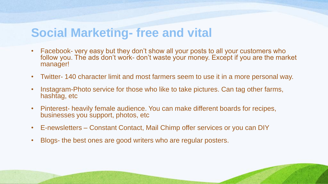## **Social Marketing- free and vital**

- Facebook- very easy but they don't show all your posts to all your customers who follow you. The ads don't work- don't waste your money. Except if you are the market manager!
- Twitter- 140 character limit and most farmers seem to use it in a more personal way.
- Instagram-Photo service for those who like to take pictures. Can tag other farms, hashtag, etc
- Pinterest- heavily female audience. You can make different boards for recipes, businesses you support, photos, etc
- E-newsletters Constant Contact, Mail Chimp offer services or you can DIY
- Blogs- the best ones are good writers who are regular posters.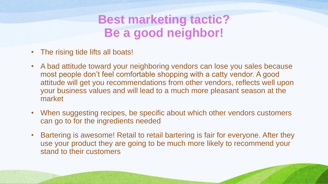# **Best marketing tactic? Be a good neighbor!**

- The rising tide lifts all boats!
- A bad attitude toward your neighboring vendors can lose you sales because most people don't feel comfortable shopping with a catty vendor. A good attitude will get you recommendations from other vendors, reflects well upon your business values and will lead to a much more pleasant season at the market
- When suggesting recipes, be specific about which other vendors customers can go to for the ingredients needed
- Bartering is awesome! Retail to retail bartering is fair for everyone. After they use your product they are going to be much more likely to recommend your stand to their customers